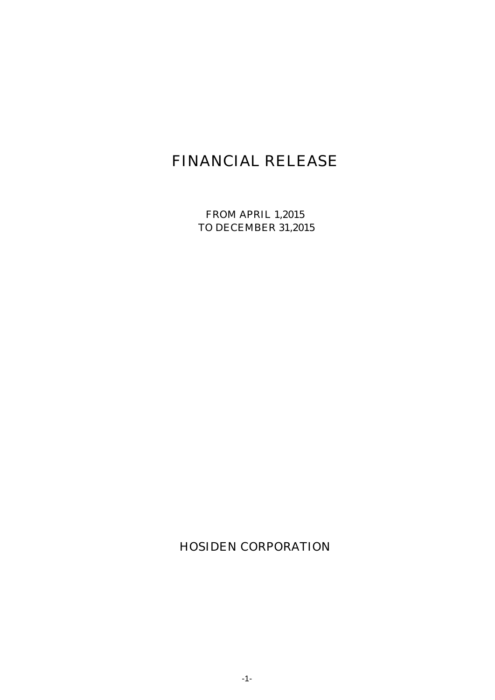# FINANCIAL RELEASE

FROM APRIL 1,2015 TO DECEMBER 31,2015

HOSIDEN CORPORATION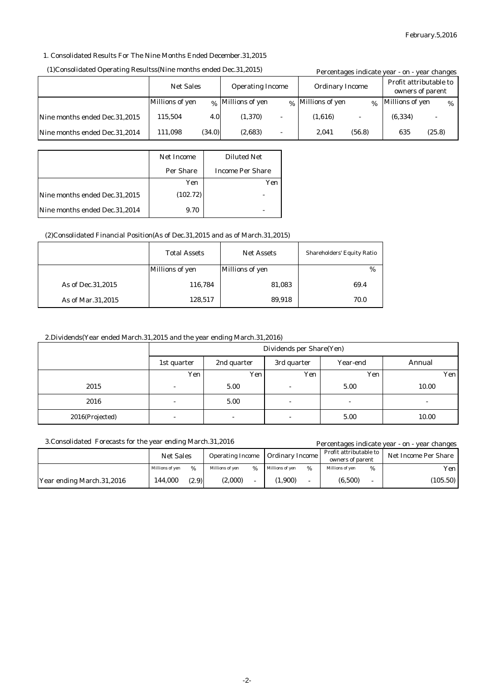Percentages indicate year - on - year changes

### 1. Consolidated Results For The Nine Months Ended December.31,2015

#### Millions of yen  $\alpha_{\%}$  |Millions of yen  $\alpha_{\%}$  |Millions of yen  $\alpha_{\%}$  |Millions of yen  $\alpha_{\%}$ Nine months ended Dec.31,2015 Nine months ended Dec.31,2014 Percentages indicate year - on - year changes (1,616) - (56.8) Profit attributable to Net Sales Operating Income Ordinary Income Profit attributable<br>owners of parent 2,041 - - 115,504 111,098 4.0 (34.0) (2,683) (1,370) (6,334) 635 - (25.8)

#### (1)Consolidated Operating Resultss(Nine months ended Dec.31,2015)

|                               | <b>Net Income</b> | <b>Diluted Net</b>      |
|-------------------------------|-------------------|-------------------------|
|                               | Per Share         | <b>Income Per Share</b> |
|                               | Yen               | Yen                     |
| Nine months ended Dec.31,2015 | (102.72)          |                         |
| Nine months ended Dec.31,2014 | 9.70              |                         |

### (2)Consolidated Financial Position(As of Dec.31,2015 and as of March.31,2015)

|                     | <b>Total Assets</b> | <b>Net Assets</b>      | <b>Shareholders' Equity Ratio</b> |
|---------------------|---------------------|------------------------|-----------------------------------|
|                     | Millions of yen     | <b>Millions of yen</b> | $\frac{0}{0}$                     |
| As of Dec. 31, 2015 | 116,784             | 81,083                 | 69.4                              |
| As of Mar.31,2015   | 128,517             | 89,918                 | 70.0                              |

#### 2.Dividends(Year ended March.31,2015 and the year ending March.31,2016)

|                 | Dividends per Share(Yen) |                                        |                          |                          |       |
|-----------------|--------------------------|----------------------------------------|--------------------------|--------------------------|-------|
|                 | 1st quarter              | 2nd quarter<br>Year-end<br>3rd quarter |                          |                          |       |
|                 | Yen                      | Yen.                                   | Yen                      | Yen                      | Yen   |
| 2015            | $\overline{\phantom{a}}$ | 5.00                                   | $\overline{\phantom{a}}$ | 5.00                     | 10.00 |
| 2016            | $\overline{\phantom{0}}$ | 5.00                                   | $\overline{\phantom{a}}$ | $\overline{\phantom{a}}$ | -     |
| 2016(Projected) | $\overline{\phantom{a}}$ | $\overline{\phantom{a}}$               | $\overline{\phantom{a}}$ | 5.00                     | 10.00 |

### 3.Consolidated Forecasts for the year ending March.31,2016

|                           | <b>Net Sales</b> |       | <b>Operating Income</b> |   | <b>Ordinary Income</b> |   | Profit attributable to<br>owners of parent |   | Net Income Per Share |
|---------------------------|------------------|-------|-------------------------|---|------------------------|---|--------------------------------------------|---|----------------------|
|                           | Millions of ven  | %     | Millions of ven         | % | Millions of ven        | % | Millions of ven                            | % | Yen l                |
| Year ending March.31,2016 | 144.000          | (2.9) | (2,000)                 |   | 1,900)                 |   | (6,500)                                    |   | (105.50)             |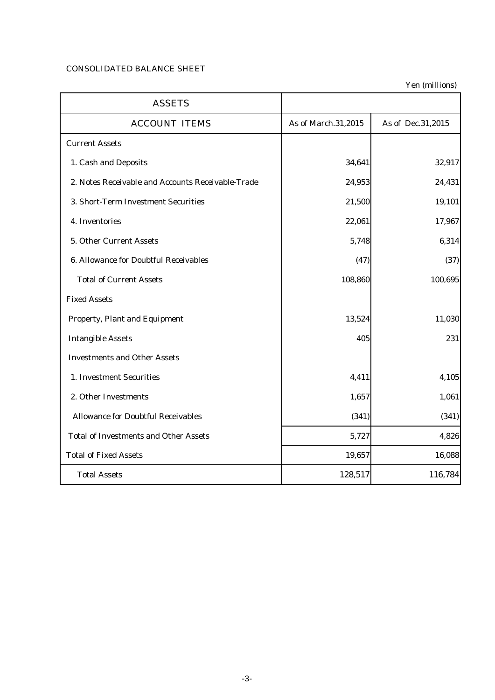## CONSOLIDATED BALANCE SHEET

Yen (millions)

| <b>ASSETS</b>                                     |                     |                   |
|---------------------------------------------------|---------------------|-------------------|
| <b>ACCOUNT ITEMS</b>                              | As of March.31,2015 | As of Dec.31,2015 |
| <b>Current Assets</b>                             |                     |                   |
| 1. Cash and Deposits                              | 34,641              | 32,917            |
| 2. Notes Receivable and Accounts Receivable-Trade | 24,953              | 24,431            |
| 3. Short-Term Investment Securities               | 21,500              | 19,101            |
| 4. Inventories                                    | 22,061              | 17,967            |
| 5. Other Current Assets                           | 5,748               | 6,314             |
| <b>6. Allowance for Doubtful Receivables</b>      | (47)                | (37)              |
| <b>Total of Current Assets</b>                    | 108,860             | 100,695           |
| <b>Fixed Assets</b>                               |                     |                   |
| <b>Property, Plant and Equipment</b>              | 13,524              | 11,030            |
| <b>Intangible Assets</b>                          | 405                 | 231               |
| <b>Investments and Other Assets</b>               |                     |                   |
| 1. Investment Securities                          | 4,411               | 4,105             |
| 2. Other Investments                              | 1,657               | 1,061             |
| <b>Allowance for Doubtful Receivables</b>         | (341)               | (341)             |
| <b>Total of Investments and Other Assets</b>      | 5,727               | 4,826             |
| <b>Total of Fixed Assets</b>                      | 19,657              | 16,088            |
| <b>Total Assets</b>                               | 128,517             | 116,784           |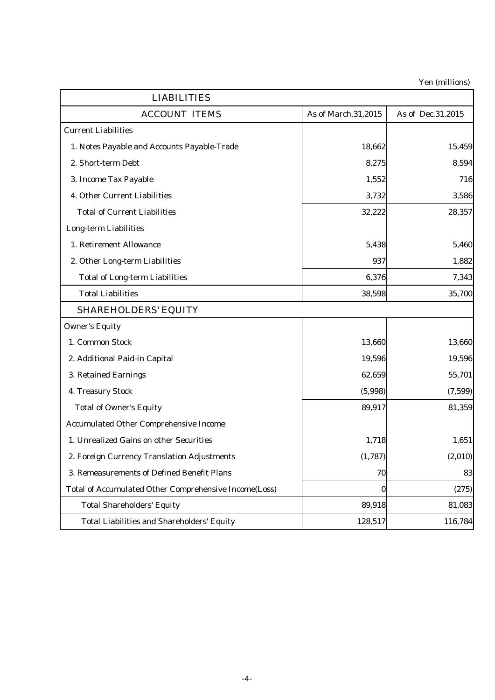Yen (millions)

|                                                              |                     | ren (mumons)      |
|--------------------------------------------------------------|---------------------|-------------------|
| <b>LIABILITIES</b>                                           |                     |                   |
| <b>ACCOUNT ITEMS</b>                                         | As of March.31,2015 | As of Dec.31,2015 |
| <b>Current Liabilities</b>                                   |                     |                   |
| 1. Notes Payable and Accounts Payable-Trade                  | 18,662              | 15,459            |
| 2. Short-term Debt                                           | 8,275               | 8,594             |
| 3. Income Tax Payable                                        | 1,552               | 716               |
| 4. Other Current Liabilities                                 | 3,732               | 3,586             |
| <b>Total of Current Liabilities</b>                          | 32,222              | 28,357            |
| <b>Long-term Liabilities</b>                                 |                     |                   |
| 1. Retirement Allowance                                      | 5,438               | 5,460             |
| 2. Other Long-term Liabilities                               | 937                 | 1,882             |
| <b>Total of Long-term Liabilities</b>                        | 6,376               | 7,343             |
| <b>Total Liabilities</b>                                     | 38,598              | 35,700            |
| <b>SHAREHOLDERS' EQUITY</b>                                  |                     |                   |
| <b>Owner's Equity</b>                                        |                     |                   |
| 1. Common Stock                                              | 13,660              | 13,660            |
| 2. Additional Paid-in Capital                                | 19,596              | 19,596            |
| 3. Retained Earnings                                         | 62,659              | 55,701            |
| 4. Treasury Stock                                            | (5,998)             | (7,599)           |
| <b>Total of Owner's Equity</b>                               | 89,917              | 81,359            |
| <b>Accumulated Other Comprehensive Income</b>                |                     |                   |
| 1. Unrealized Gains on other Securities                      | 1,718               | 1,651             |
| 2. Foreign Currency Translation Adjustments                  | (1,787)             | (2,010)           |
| 3. Remeasurements of Defined Benefit Plans                   | 70                  | 83                |
| <b>Total of Accumulated Other Comprehensive Income(Loss)</b> | $\bf{0}$            | (275)             |
| <b>Total Shareholders' Equity</b>                            | 89,918              | 81,083            |
| <b>Total Liabilities and Shareholders' Equity</b>            | 128,517             | 116,784           |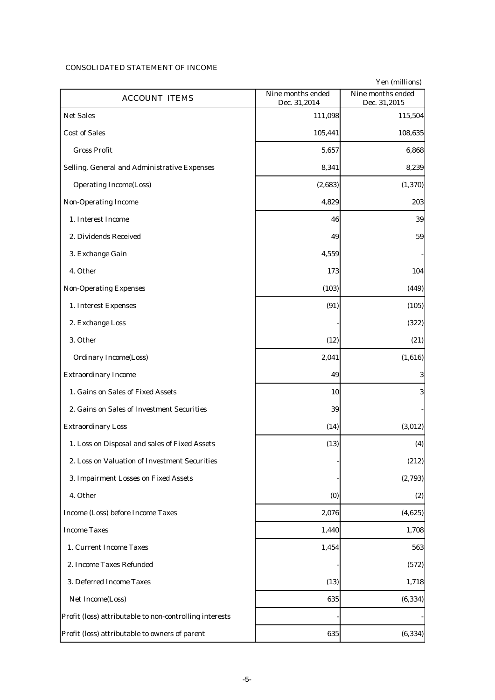#### CONSOLIDATED STATEMENT OF INCOME

|                                                         |                                   | Yen (millions)                    |
|---------------------------------------------------------|-----------------------------------|-----------------------------------|
| <b>ACCOUNT ITEMS</b>                                    | Nine months ended<br>Dec. 31,2014 | Nine months ended<br>Dec. 31,2015 |
| <b>Net Sales</b>                                        | 111,098                           | 115,504                           |
| <b>Cost of Sales</b>                                    | 105,441                           | 108,635                           |
| <b>Gross Profit</b>                                     | 5,657                             | 6,868                             |
| Selling, General and Administrative Expenses            | 8,341                             | 8,239                             |
| <b>Operating Income(Loss)</b>                           | (2,683)                           | (1, 370)                          |
| <b>Non-Operating Income</b>                             | 4,829                             | 203                               |
| 1. Interest Income                                      | 46                                | 39                                |
| 2. Dividends Received                                   | 49                                | 59                                |
| 3. Exchange Gain                                        | 4,559                             |                                   |
| 4. Other                                                | 173                               | 104                               |
| <b>Non-Operating Expenses</b>                           | (103)                             | (449)                             |
| 1. Interest Expenses                                    | (91)                              | (105)                             |
| 2. Exchange Loss                                        |                                   | (322)                             |
| 3. Other                                                | (12)                              | (21)                              |
| <b>Ordinary Income(Loss)</b>                            | 2,041                             | (1,616)                           |
| <b>Extraordinary Income</b>                             | 49                                | $\boldsymbol{3}$                  |
| 1. Gains on Sales of Fixed Assets                       | 10                                | 3                                 |
| 2. Gains on Sales of Investment Securities              | 39                                |                                   |
| <b>Extraordinary Loss</b>                               | (14)                              | (3,012)                           |
| 1. Loss on Disposal and sales of Fixed Assets           | (13)                              | (4)                               |
| 2. Loss on Valuation of Investment Securities           |                                   | (212)                             |
| 3. Impairment Losses on Fixed Assets                    |                                   | (2,793)                           |
| 4. Other                                                | (0)                               | (2)                               |
| Income (Loss) before Income Taxes                       | 2,076                             | (4,625)                           |
| <b>Income Taxes</b>                                     | 1,440                             | 1,708                             |
| 1. Current Income Taxes                                 | 1,454                             | 563                               |
| 2. Income Taxes Refunded                                |                                   | (572)                             |
| 3. Deferred Income Taxes                                | (13)                              | 1,718                             |
| Net Income(Loss)                                        | 635                               | (6, 334)                          |
| Profit (loss) attributable to non-controlling interests |                                   |                                   |
| Profit (loss) attributable to owners of parent          | 635                               | (6, 334)                          |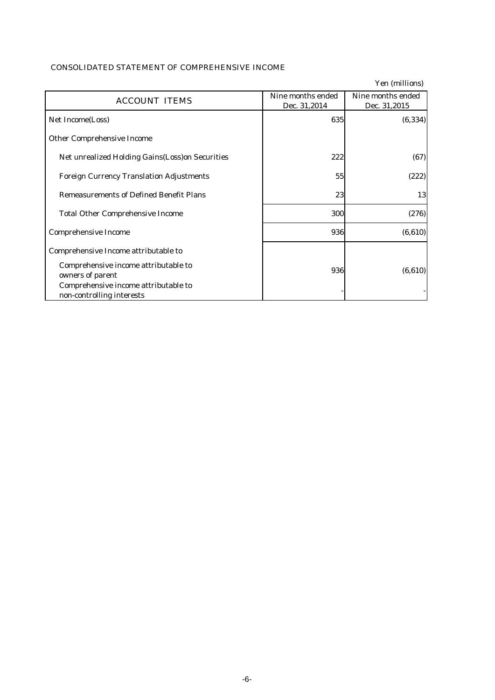|                                                                   |                                   | Yen (millions)                    |
|-------------------------------------------------------------------|-----------------------------------|-----------------------------------|
| <b>ACCOUNT ITEMS</b>                                              | Nine months ended<br>Dec. 31,2014 | Nine months ended<br>Dec. 31,2015 |
| Net Income(Loss)                                                  | 635                               | (6, 334)                          |
| <b>Other Comprehensive Income</b>                                 |                                   |                                   |
| Net unrealized Holding Gains (Loss) on Securities                 | 222                               | (67)                              |
| <b>Foreign Currency Translation Adjustments</b>                   | 55                                | (222)                             |
| <b>Remeasurements of Defined Benefit Plans</b>                    | 23                                | 13                                |
| <b>Total Other Comprehensive Income</b>                           | 300                               | (276)                             |
| <b>Comprehensive Income</b>                                       | 936                               | (6, 610)                          |
| Comprehensive Income attributable to                              |                                   |                                   |
| Comprehensive income attributable to<br>owners of parent          | 936                               | (6, 610)                          |
| Comprehensive income attributable to<br>non-controlling interests |                                   |                                   |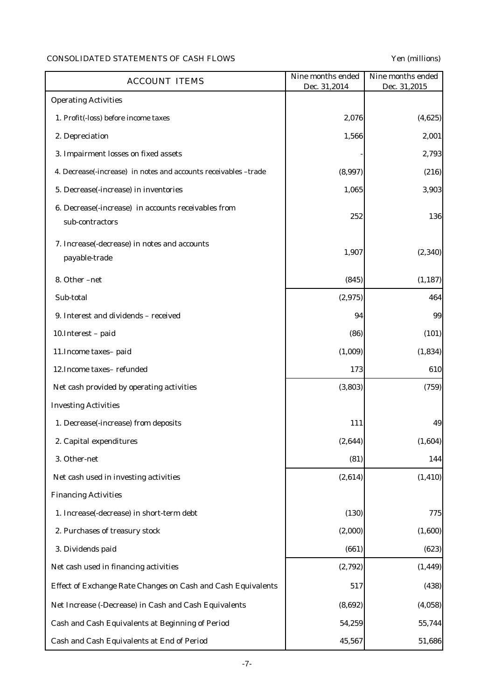# CONSOLIDATED STATEMENTS OF CASH FLOWS Yen (millions)

| <b>ACCOUNT ITEMS</b>                                                   | Nine months ended<br>Dec. 31,2014 | Nine months ended<br>Dec. 31,2015 |
|------------------------------------------------------------------------|-----------------------------------|-----------------------------------|
| <b>Operating Activities</b>                                            |                                   |                                   |
| 1. Profit(-loss) before income taxes                                   | 2,076                             | (4,625)                           |
| 2. Depreciation                                                        | 1,566                             | 2,001                             |
| 3. Impairment losses on fixed assets                                   |                                   | 2,793                             |
| 4. Decrease(-increase) in notes and accounts receivables -trade        | (8,997)                           | (216)                             |
| 5. Decrease(-increase) in inventories                                  | 1,065                             | 3,903                             |
| 6. Decrease(-increase) in accounts receivables from<br>sub-contractors | 252                               | 136                               |
| 7. Increase(-decrease) in notes and accounts<br>payable-trade          | 1,907                             | (2, 340)                          |
| 8. Other -net                                                          | (845)                             | (1, 187)                          |
| Sub-total                                                              | (2,975)                           | 464                               |
| 9. Interest and dividends - received                                   | 94                                | 99                                |
| 10. Interest - paid                                                    | (86)                              | (101)                             |
| 11. Income taxes- paid                                                 | (1,009)                           | (1, 834)                          |
| 12. Income taxes-refunded                                              | 173                               | 610                               |
| Net cash provided by operating activities                              | (3, 803)                          | (759)                             |
| <b>Investing Activities</b>                                            |                                   |                                   |
| 1. Decrease(-increase) from deposits                                   | 111                               | 49                                |
| 2. Capital expenditures                                                | (2,644)                           | (1,604)                           |
| 3. Other-net                                                           | (81)                              | 144                               |
| Net cash used in investing activities                                  | (2,614)                           | (1, 410)                          |
| <b>Financing Activities</b>                                            |                                   |                                   |
| 1. Increase(-decrease) in short-term debt                              | (130)                             | 775                               |
| 2. Purchases of treasury stock                                         | (2,000)                           | (1,600)                           |
| 3. Dividends paid                                                      | (661)                             | (623)                             |
| Net cash used in financing activities                                  | (2,792)                           | (1, 449)                          |
| Effect of Exchange Rate Changes on Cash and Cash Equivalents           | 517                               | (438)                             |
| Net Increase (-Decrease) in Cash and Cash Equivalents                  | (8,692)                           | (4,058)                           |
| Cash and Cash Equivalents at Beginning of Period                       | 54,259                            | 55,744                            |
| Cash and Cash Equivalents at End of Period                             | 45,567                            | 51,686                            |